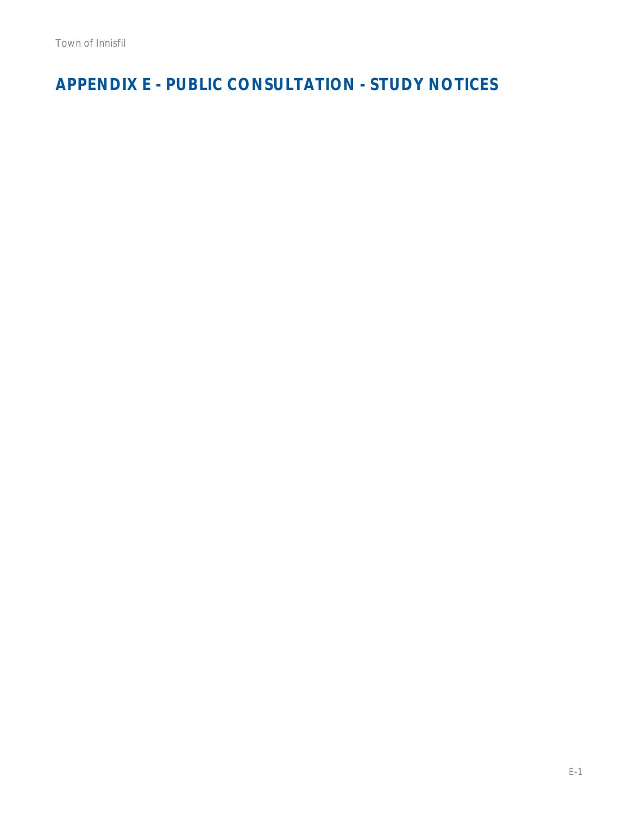# **APPENDIX E - PUBLIC CONSULTATION - STUDY NOTICES**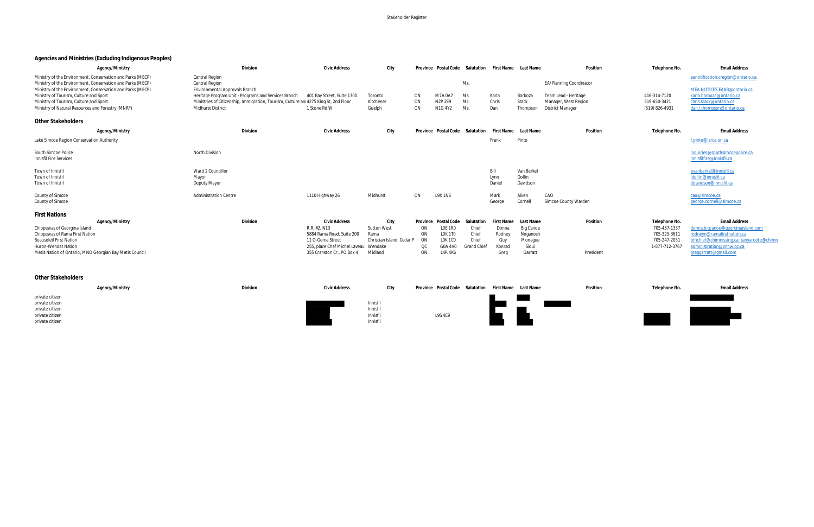| Agency/Ministry                                                                                                                                                                        | Division                                                                                                  | <b>Civic Address</b>                                      | City                    |          | Province Postal Code |                    | Salutation First Name | Last Name         | Position                                        | Telephone No.                  | <b>Email Address</b>                                                    |
|----------------------------------------------------------------------------------------------------------------------------------------------------------------------------------------|-----------------------------------------------------------------------------------------------------------|-----------------------------------------------------------|-------------------------|----------|----------------------|--------------------|-----------------------|-------------------|-------------------------------------------------|--------------------------------|-------------------------------------------------------------------------|
| Ministry of the Environment, Conservation and Parks (MECP)<br>Ministry of the Environment, Conservation and Parks (MECP)<br>Ministry of the Environment, Conservation and Parks (MECP) | Central Region<br>Central Region<br>Environmental Approvals Branch                                        |                                                           |                         |          |                      | Ms.                |                       |                   | <b>EA/Planning Coordinator</b>                  |                                | eanotification.cregion@ontario.ca<br>MEA.NOTICES.EAAB@ontario.ca        |
| Ministry of Tourism, Culture and Sport                                                                                                                                                 | Heritage Program Unit - Programs and Services Branch                                                      | 401 Bay Street, Suite 1700                                | Toronto                 | ON       | M7A 0A7              | Ms.                | Karla                 | Barboza           | Team Lead - Heritage                            | 416-314-7120                   | karla.barboza@ontario.ca                                                |
| Ministry of Tourism, Culture and Sport<br>Ministry of Natural Resources and Forestry (MNRF)                                                                                            | Ministries of Citizenship, Immigration, Tourism, Culture and 4275 King St, 2nd Floor<br>Midhurst District | 1 Stone Rd W                                              | Kitchener<br>Guelph     | ON<br>ON | N2P 2E9<br>N1G 4Y2   | Mr.<br>Ms.         | Chris<br>Dan          | Stack<br>Thompson | Manager, West Region<br><b>District Manager</b> | 519-650-3421<br>(519) 826-4931 | chris.stack@ontario.ca<br>dan.l.thompson@ontario.ca                     |
| Other Stakeholders                                                                                                                                                                     |                                                                                                           |                                                           |                         |          |                      |                    |                       |                   |                                                 |                                |                                                                         |
| Agency/Ministry                                                                                                                                                                        | Division                                                                                                  | Civic Address                                             | City                    |          | Province Postal Code | Salutation         | First Name            | Last Name         | Position                                        | Telephone No.                  | <b>Email Address</b>                                                    |
| Lake Simcoe Region Conservation Authority                                                                                                                                              |                                                                                                           |                                                           |                         |          |                      |                    | Frank                 | Pinto             |                                                 |                                | f.pinto@Isrca.on.ca                                                     |
| South Simcoe Police                                                                                                                                                                    | North Division                                                                                            |                                                           |                         |          |                      |                    |                       |                   |                                                 |                                | inquiries@southsimcoepolice.ca                                          |
| Innisfil Fire Services                                                                                                                                                                 |                                                                                                           |                                                           |                         |          |                      |                    |                       |                   |                                                 |                                | innisfilfire@innisfil.ca                                                |
| Town of Innisfi                                                                                                                                                                        | Ward 2 Councillor                                                                                         |                                                           |                         |          |                      |                    | Bill                  | Van Berkel        |                                                 |                                | bvanberkel@innisfil.ca                                                  |
| Town of Innisfi                                                                                                                                                                        | Mayor                                                                                                     |                                                           |                         |          |                      |                    | Lynn                  | Dollin            |                                                 |                                | Idollin@innisfil.ca                                                     |
| Town of Innisfil                                                                                                                                                                       | Deputy Mayor                                                                                              |                                                           |                         |          |                      |                    | Daniel                | Davidson          |                                                 |                                | ddavidson@innisfil.ca                                                   |
| County of Simcoe                                                                                                                                                                       | <b>Administration Centre</b>                                                                              | 1110 Highway 26                                           | Midhurst                | ON       | L9X 1N6              |                    | Mark                  | Aiken             | CAO                                             |                                | cao@simcoe.ca                                                           |
| County of Simcoe                                                                                                                                                                       |                                                                                                           |                                                           |                         |          |                      |                    | George                | Cornell           | Simcoe County Warden                            |                                | george.cornell@simcoe.ca                                                |
| <b>First Nations</b>                                                                                                                                                                   |                                                                                                           |                                                           |                         |          |                      |                    |                       |                   |                                                 |                                |                                                                         |
| Agency/Ministry                                                                                                                                                                        | Division                                                                                                  | <b>Civic Address</b>                                      | City                    | Province | Postal Code          | Salutation         | First Name            | Last Name         | Position                                        | Telephone No.                  | <b>Email Address</b>                                                    |
| Chippewas of Georgina Island                                                                                                                                                           |                                                                                                           | R.R. #2, N13                                              | Sutton West             | ON       | LOE 1RO              | Chief              | Donna                 | <b>Big Canoe</b>  |                                                 | 705-437-1337                   | donna.bigcanoe@georginaisland.com                                       |
| Chippewas of Rama First Nation                                                                                                                                                         |                                                                                                           | 5884 Rama Road, Suite 200                                 | Rama                    | ON       | LOK 1TO              | Chief<br>Chief     | Rodney                | Noganosh          |                                                 | 705-325-3611                   | rodneyn@ramafirstnation.ca                                              |
| <b>Beausoleil First Nation</b><br>Huron-Wendat Nation                                                                                                                                  |                                                                                                           | 11 O-Gema Street<br>255, place Chef Michel Laveau Wendake | Christian Island, Cedar | ON<br>OC | LOK 1CO<br>G0A 4V0   | <b>Grand Chief</b> | Guy<br>Konrad         | Monague<br>Sioui  |                                                 | 705-247-2051<br>1-877-712-3767 | bfnchief@chimnissing.ca; tanyaroote@chimni<br>administration@cnhw.gc.ca |
| Metis Nation of Ontario, MNO Georgian Bay Metis Council                                                                                                                                |                                                                                                           | 355 Cranston Cr., PO Box 4                                | Midland                 | ON       | L4R 4K6              |                    | Greg                  | Garratt           | President                                       |                                | greggarratt@gmail.com                                                   |
|                                                                                                                                                                                        |                                                                                                           |                                                           |                         |          |                      |                    |                       |                   |                                                 |                                |                                                                         |
| Other Stakeholders                                                                                                                                                                     |                                                                                                           |                                                           |                         |          |                      |                    |                       |                   |                                                 |                                |                                                                         |
| Agency/Ministry                                                                                                                                                                        | Division                                                                                                  | Civic Address                                             | City                    |          | Province Postal Code | Salutation         | First Name Last Name  |                   | Position                                        | Telephone No.                  | <b>Email Address</b>                                                    |

|                 | Agency/Ministry | Division | Civic Address | City     | Province Postal Code Salutation First Name |  | Last Name | Posi |
|-----------------|-----------------|----------|---------------|----------|--------------------------------------------|--|-----------|------|
| private citizen |                 |          |               |          |                                            |  |           |      |
| private citizen |                 |          |               | Innisfil |                                            |  |           |      |
| private citizen |                 |          |               | Innisfil |                                            |  |           |      |
| private citizen |                 |          |               | Innisfil | L9S 4E9                                    |  |           |      |
| private citizen |                 |          |               | Innisfil |                                            |  |           |      |
|                 |                 |          |               |          |                                            |  |           |      |

 $\frac{1}{\sqrt{2}}$ 

#### **Agencies and Ministries (Excluding Indigenous Peoples)**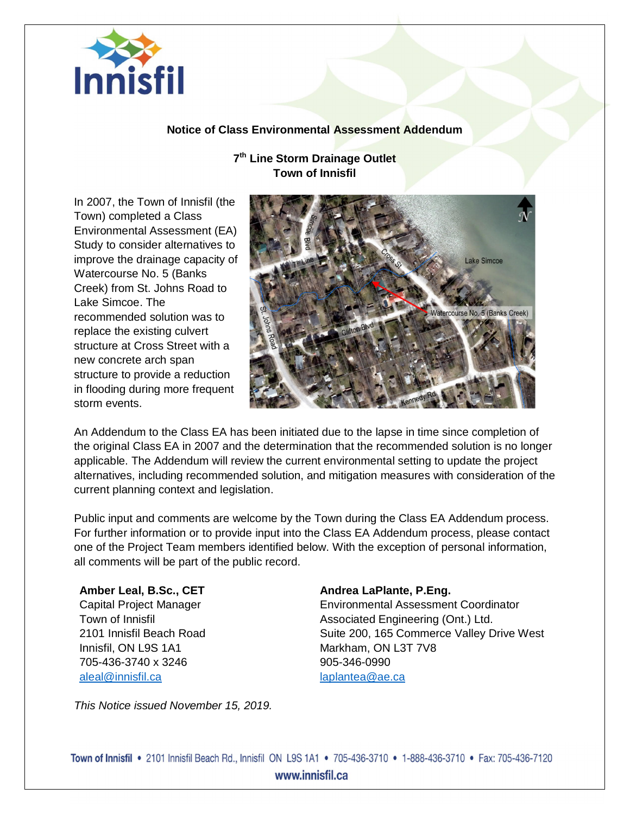

### **Notice of Class Environmental Assessment Addendum**

**7 th Line Storm Drainage Outlet Town of Innisfil**

In 2007, the Town of Innisfil (the Town) completed a Class Environmental Assessment (EA) Study to consider alternatives to improve the drainage capacity of Watercourse No. 5 (Banks Creek) from St. Johns Road to Lake Simcoe. The recommended solution was to replace the existing culvert structure at Cross Street with a new concrete arch span structure to provide a reduction in flooding during more frequent storm events.



An Addendum to the Class EA has been initiated due to the lapse in time since completion of the original Class EA in 2007 and the determination that the recommended solution is no longer applicable. The Addendum will review the current environmental setting to update the project alternatives, including recommended solution, and mitigation measures with consideration of the current planning context and legislation.

Public input and comments are welcome by the Town during the Class EA Addendum process. For further information or to provide input into the Class EA Addendum process, please contact one of the Project Team members identified below. With the exception of personal information, all comments will be part of the public record.

**Amber Leal, B.Sc., CET** Capital Project Manager Town of Innisfil 2101 Innisfil Beach Road Innisfil, ON L9S 1A1 705-436-3740 x 3246 aleal@innisfil.ca

#### **Andrea LaPlante, P.Eng.**

Environmental Assessment Coordinator Associated Engineering (Ont.) Ltd. Suite 200, 165 Commerce Valley Drive West Markham, ON L3T 7V8 905-346-0990 laplantea@ae.ca

*This Notice issued November 15, 2019.*

Town of Innisfil . 2101 Innisfil Beach Rd., Innisfil ON L9S 1A1 . 705-436-3710 . 1-888-436-3710 . Fax: 705-436-7120 www.innisfil.ca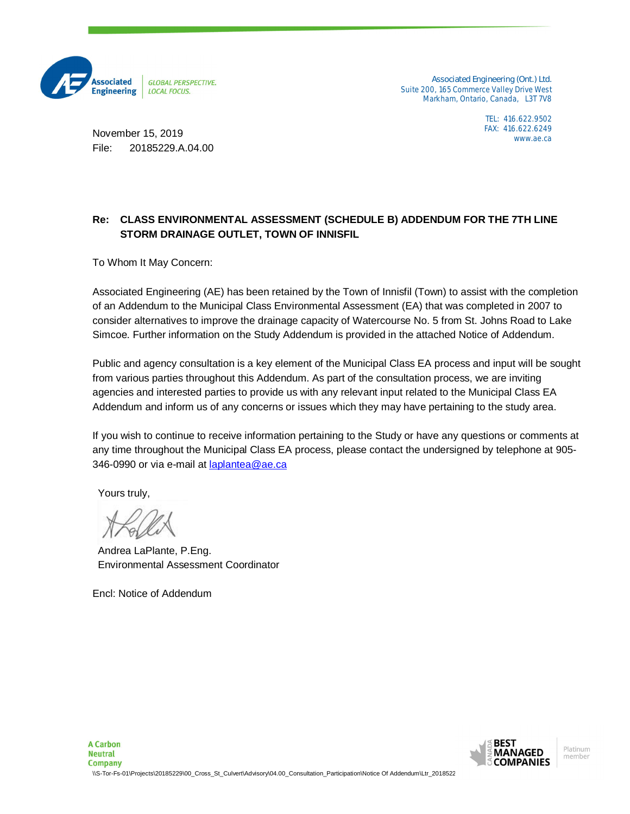

**Associated Engineering (Ont.) Ltd.** Suite 200, 165 Commerce Valley Drive West Markham, Ontario, Canada, L3T 7V8

> TEL: 416.622.9502 FAX: 416.622.6249 www.ae.ca

November 15, 2019 File: 20185229.A.04.00

#### **Re: CLASS ENVIRONMENTAL ASSESSMENT (SCHEDULE B) ADDENDUM FOR THE 7TH LINE STORM DRAINAGE OUTLET, TOWN OF INNISFIL**

To Whom It May Concern:

Associated Engineering (AE) has been retained by the Town of Innisfil (Town) to assist with the completion of an Addendum to the Municipal Class Environmental Assessment (EA) that was completed in 2007 to consider alternatives to improve the drainage capacity of Watercourse No. 5 from St. Johns Road to Lake Simcoe. Further information on the Study Addendum is provided in the attached Notice of Addendum.

Public and agency consultation is a key element of the Municipal Class EA process and input will be sought from various parties throughout this Addendum. As part of the consultation process, we are inviting agencies and interested parties to provide us with any relevant input related to the Municipal Class EA Addendum and inform us of any concerns or issues which they may have pertaining to the study area.

If you wish to continue to receive information pertaining to the Study or have any questions or comments at any time throughout the Municipal Class EA process, please contact the undersigned by telephone at 905- 346-0990 or via e-mail at laplantea@ae.ca

Yours truly,

**A Carbon** 

Andrea LaPlante, P.Eng. Environmental Assessment Coordinator

Encl: Notice of Addendum